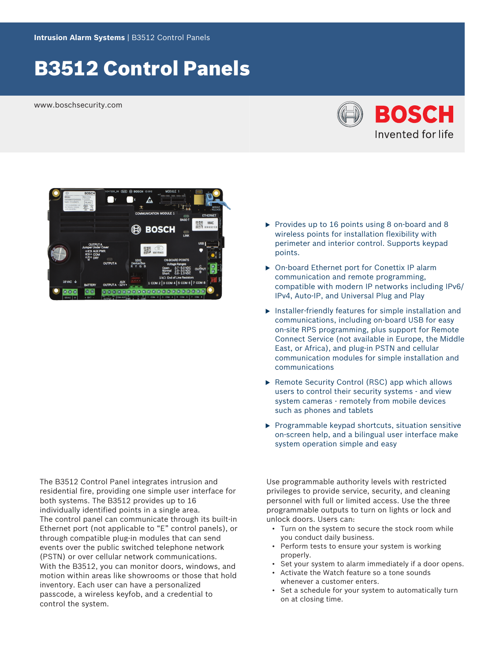# B3512 Control Panels

www.boschsecurity.com





The B3512 Control Panel integrates intrusion and residential fire, providing one simple user interface for both systems. The B3512 provides up to 16 individually identified points in a single area. The control panel can communicate through its built-in Ethernet port (not applicable to "E" control panels), or through compatible plug-in modules that can send events over the public switched telephone network (PSTN) or over cellular network communications. With the B3512, you can monitor doors, windows, and motion within areas like showrooms or those that hold inventory. Each user can have a personalized passcode, a wireless keyfob, and a credential to control the system.

- $\triangleright$  Provides up to 16 points using 8 on-board and 8 wireless points for installation flexibility with perimeter and interior control. Supports keypad points.
- ▶ On-board Ethernet port for Conettix IP alarm communication and remote programming, compatible with modern IP networks including IPv6/ IPv4, Auto-IP, and Universal Plug and Play
- $\blacktriangleright$  Installer-friendly features for simple installation and communications, including on-board USB for easy on-site RPS programming, plus support for Remote Connect Service (not available in Europe, the Middle East, or Africa), and plug-in PSTN and cellular communication modules for simple installation and communications
- $\triangleright$  Remote Security Control (RSC) app which allows users to control their security systems - and view system cameras - remotely from mobile devices such as phones and tablets
- $\blacktriangleright$  Programmable keypad shortcuts, situation sensitive on-screen help, and a bilingual user interface make system operation simple and easy

Use programmable authority levels with restricted privileges to provide service, security, and cleaning personnel with full or limited access. Use the three programmable outputs to turn on lights or lock and unlock doors. Users can:

- Turn on the system to secure the stock room while you conduct daily business.
- Perform tests to ensure your system is working properly.
- Set your system to alarm immediately if a door opens.
- Activate the Watch feature so a tone sounds whenever a customer enters.
- Set a schedule for your system to automatically turn on at closing time.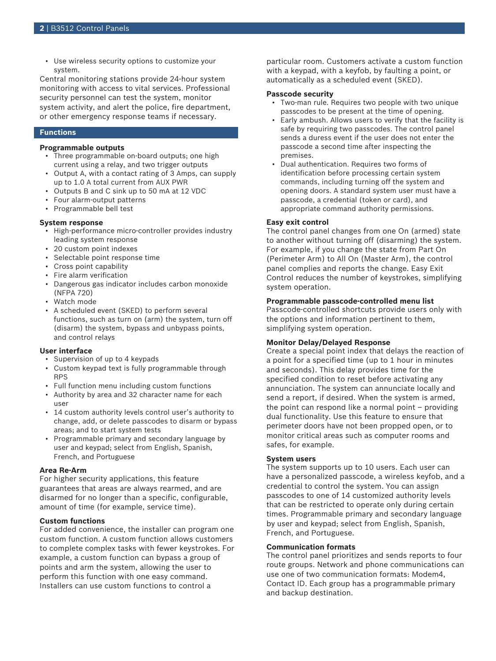• Use wireless security options to customize your system.

Central monitoring stations provide 24-hour system monitoring with access to vital services. Professional security personnel can test the system, monitor system activity, and alert the police, fire department, or other emergency response teams if necessary.

#### **Functions**

#### **Programmable outputs**

- Three programmable on-board outputs; one high current using a relay, and two trigger outputs
- Output A, with a contact rating of 3 Amps, can supply up to 1.0 A total current from AUX PWR
- Outputs B and C sink up to 50 mA at 12 VDC
- Four alarm-output patterns
- Programmable bell test

#### **System response**

- High-performance micro-controller provides industry leading system response
- 20 custom point indexes
- Selectable point response time
- Cross point capability
- Fire alarm verification
- Dangerous gas indicator includes carbon monoxide (NFPA 720)
- Watch mode
- A scheduled event (SKED) to perform several functions, such as turn on (arm) the system, turn off (disarm) the system, bypass and unbypass points, and control relays

#### **User interface**

- Supervision of up to 4 keypads
- Custom keypad text is fully programmable through RPS
- Full function menu including custom functions
- Authority by area and 32 character name for each user
- 14 custom authority levels control user's authority to change, add, or delete passcodes to disarm or bypass areas; and to start system tests
- Programmable primary and secondary language by user and keypad; select from English, Spanish, French, and Portuguese

#### **Area Re-Arm**

For higher security applications, this feature guarantees that areas are always rearmed, and are disarmed for no longer than a specific, configurable, amount of time (for example, service time).

#### **Custom functions**

For added convenience, the installer can program one custom function. A custom function allows customers to complete complex tasks with fewer keystrokes. For example, a custom function can bypass a group of points and arm the system, allowing the user to perform this function with one easy command. Installers can use custom functions to control a

particular room. Customers activate a custom function with a keypad, with a keyfob, by faulting a point, or automatically as a scheduled event (SKED).

#### **Passcode security**

- Two-man rule. Requires two people with two unique passcodes to be present at the time of opening.
- Early ambush. Allows users to verify that the facility is safe by requiring two passcodes. The control panel sends a duress event if the user does not enter the passcode a second time after inspecting the premises.
- Dual authentication. Requires two forms of identification before processing certain system commands, including turning off the system and opening doors. A standard system user must have a passcode, a credential (token or card), and appropriate command authority permissions.

#### **Easy exit control**

The control panel changes from one On (armed) state to another without turning off (disarming) the system. For example, if you change the state from Part On (Perimeter Arm) to All On (Master Arm), the control panel complies and reports the change. Easy Exit Control reduces the number of keystrokes, simplifying system operation.

#### **Programmable passcode-controlled menu list**

Passcode-controlled shortcuts provide users only with the options and information pertinent to them, simplifying system operation.

#### **Monitor Delay/Delayed Response**

Create a special point index that delays the reaction of a point for a specified time (up to 1 hour in minutes and seconds). This delay provides time for the specified condition to reset before activating any annunciation. The system can annunciate locally and send a report, if desired. When the system is armed, the point can respond like a normal point – providing dual functionality. Use this feature to ensure that perimeter doors have not been propped open, or to monitor critical areas such as computer rooms and safes, for example.

#### **System users**

The system supports up to 10 users. Each user can have a personalized passcode, a wireless keyfob, and a credential to control the system. You can assign passcodes to one of 14 customized authority levels that can be restricted to operate only during certain times. Programmable primary and secondary language by user and keypad; select from English, Spanish, French, and Portuguese.

#### **Communication formats**

The control panel prioritizes and sends reports to four route groups. Network and phone communications can use one of two communication formats: Modem4, Contact ID. Each group has a programmable primary and backup destination.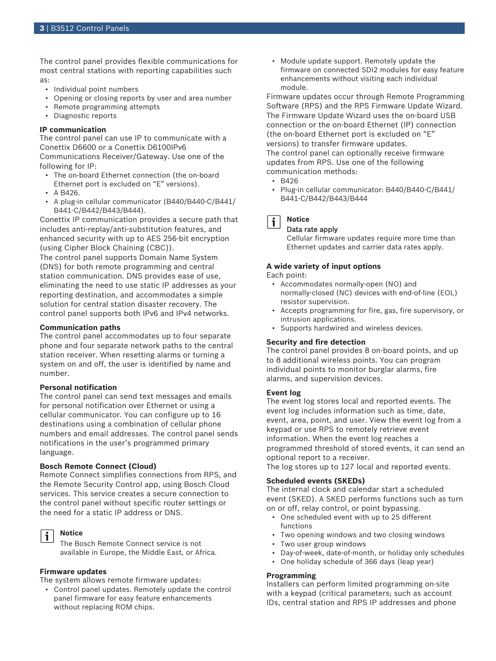The control panel provides flexible communications for most central stations with reporting capabilities such as:

- Individual point numbers
- Opening or closing reports by user and area number
- Remote programming attempts
- Diagnostic reports

#### **IP communication**

The control panel can use IP to communicate with a Conettix D6600 or a Conettix D6100IPv6 Communications Receiver/Gateway. Use one of the following for IP:

- The on-board Ethernet connection (the on-board Ethernet port is excluded on "E" versions).
- A B426.
- A plug-in cellular communicator (B440/B440-C/B441/ B441-C/B442/B443/B444).

Conettix IP communication provides a secure path that includes anti-replay/anti-substitution features, and enhanced security with up to AES 256-bit encryption (using Cipher Block Chaining (CBC)).

The control panel supports Domain Name System (DNS) for both remote programming and central station communication. DNS provides ease of use, eliminating the need to use static IP addresses as your reporting destination, and accommodates a simple solution for central station disaster recovery. The control panel supports both IPv6 and IPv4 networks.

#### **Communication paths**

The control panel accommodates up to four separate phone and four separate network paths to the central station receiver. When resetting alarms or turning a system on and off, the user is identified by name and number.

#### **Personal notification**

The control panel can send text messages and emails for personal notification over Ethernet or using a cellular communicator. You can configure up to 16 destinations using a combination of cellular phone numbers and email addresses. The control panel sends notifications in the user's programmed primary language.

#### **Bosch Remote Connect (Cloud)**

Remote Connect simplifies connections from RPS, and the Remote Security Control app, using Bosch Cloud services. This service creates a secure connection to the control panel without specific router settings or the need for a static IP address or DNS.

#### **Notice**

j.

The Bosch Remote Connect service is not available in Europe, the Middle East, or Africa.

#### **Firmware updates**

The system allows remote firmware updates:

• Control panel updates. Remotely update the control panel firmware for easy feature enhancements without replacing ROM chips.

• Module update support. Remotely update the firmware on connected SDI2 modules for easy feature enhancements without visiting each individual module.

Firmware updates occur through Remote Programming Software (RPS) and the RPS Firmware Update Wizard. The Firmware Update Wizard uses the on-board USB connection or the on-board Ethernet (IP) connection (the on-board Ethernet port is excluded on "E" versions) to transfer firmware updates. The control panel can optionally receive firmware updates from RPS. Use one of the following communication methods:

- $-B426$
- Plug-in cellular communicator: B440/B440-C/B441/ B441-C/B442/B443/B444



### Data rate apply

Cellular firmware updates require more time than Ethernet updates and carrier data rates apply.

#### **A wide variety of input options**

Each point:

- Accommodates normally‑open (NO) and normally-closed (NC) devices with end-of-line (EOL) resistor supervision.
- Accepts programming for fire, gas, fire supervisory, or intrusion applications.
- Supports hardwired and wireless devices.

#### **Security and fire detection**

The control panel provides 8 on-board points, and up to 8 additional wireless points. You can program individual points to monitor burglar alarms, fire alarms, and supervision devices.

#### **Event log**

The event log stores local and reported events. The event log includes information such as time, date, event, area, point, and user. View the event log from a keypad or use RPS to remotely retrieve event information. When the event log reaches a programmed threshold of stored events, it can send an optional report to a receiver.

The log stores up to 127 local and reported events.

#### **Scheduled events (SKEDs)**

The internal clock and calendar start a scheduled event (SKED). A SKED performs functions such as turn on or off, relay control, or point bypassing.

- One scheduled event with up to 25 different functions
- Two opening windows and two closing windows
- Two user group windows
- Day-of-week, date-of-month, or holiday only schedules
- One holiday schedule of 366 days (leap year)

#### **Programming**

Installers can perform limited programming on-site with a keypad (critical parameters; such as account IDs, central station and RPS IP addresses and phone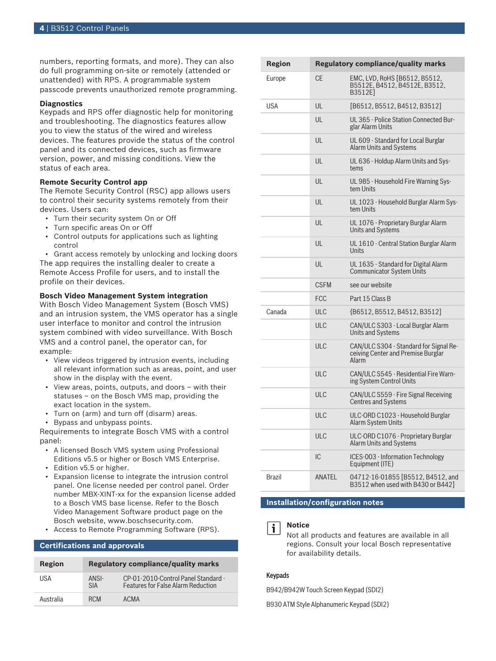numbers, reporting formats, and more). They can also do full programming on-site or remotely (attended or unattended) with RPS. A programmable system passcode prevents unauthorized remote programming.

#### **Diagnostics**

Keypads and RPS offer diagnostic help for monitoring and troubleshooting. The diagnostics features allow you to view the status of the wired and wireless devices. The features provide the status of the control panel and its connected devices, such as firmware version, power, and missing conditions. View the status of each area.

#### **Remote Security Control app**

The Remote Security Control (RSC) app allows users to control their security systems remotely from their devices. Users can:

- Turn their security system On or Off
- Turn specific areas On or Off
- Control outputs for applications such as lighting control

• Grant access remotely by unlocking and locking doors The app requires the installing dealer to create a Remote Access Profile for users, and to install the profile on their devices.

#### **Bosch Video Management System integration**

With Bosch Video Management System (Bosch VMS) and an intrusion system, the VMS operator has a single user interface to monitor and control the intrusion system combined with video surveillance. With Bosch VMS and a control panel, the operator can, for example:

- View videos triggered by intrusion events, including all relevant information such as areas, point, and user show in the display with the event.
- View areas, points, outputs, and doors with their statuses – on the Bosch VMS map, providing the exact location in the system.
- Turn on (arm) and turn off (disarm) areas.
- Bypass and unbypass points.

Requirements to integrate Bosch VMS with a control panel:

- A licensed Bosch VMS system using Professional Editions v5.5 or higher or Bosch VMS Enterprise.
- Edition v5.5 or higher.
- Expansion license to integrate the intrusion control panel. One license needed per control panel. Order number MBX-XINT-xx for the expansion license added to a Bosch VMS base license. Refer to the Bosch Video Management Software product page on the Bosch website, www.boschsecurity.com.
- Access to Remote Programming Software (RPS).

#### **Certifications and approvals**

| Region    | <b>Regulatory compliance/quality marks</b> |                                                                                  |
|-----------|--------------------------------------------|----------------------------------------------------------------------------------|
| USA       | ANSI-<br><b>SIA</b>                        | CP-01-2010-Control Panel Standard -<br><b>Features for False Alarm Reduction</b> |
| Australia | RCM                                        | <b>ACMA</b>                                                                      |

| Region     |             | <b>Regulatory compliance/quality marks</b>                                            |
|------------|-------------|---------------------------------------------------------------------------------------|
| Europe     | <b>CE</b>   | EMC, LVD, RoHS [B6512, B5512,<br>B5512E, B4512, B4512E, B3512,<br>B3512E1             |
| <b>USA</b> | UL          | [B6512, B5512, B4512, B3512]                                                          |
|            | UL          | UL 365 - Police Station Connected Bur-<br>glar Alarm Units                            |
|            | UL          | UL 609 - Standard for Local Burglar<br>Alarm Units and Systems                        |
|            | UL          | UL 636 - Holdup Alarm Units and Sys-<br>tems                                          |
|            | UL          | UL 985 - Household Fire Warning Sys-<br>tem Units                                     |
|            | UL          | UL 1023 - Household Burglar Alarm Sys-<br>tem Units                                   |
|            | UL          | UL 1076 - Proprietary Burglar Alarm<br>Units and Systems                              |
|            | UL          | UL 1610 - Central Station Burglar Alarm<br>Units                                      |
|            | UL          | UL 1635 - Standard for Digital Alarm<br><b>Communicator System Units</b>              |
|            | <b>CSFM</b> | see our website                                                                       |
|            | <b>FCC</b>  | Part 15 Class B                                                                       |
| Canada     | ULC         | {B6512, B5512, B4512, B3512]                                                          |
|            | <b>ULC</b>  | CAN/ULC S303 - Local Burglar Alarm<br>Units and Systems                               |
|            | <b>ULC</b>  | CAN/ULC S304 - Standard for Signal Re-<br>ceiving Center and Premise Burglar<br>Alarm |
|            | <b>ULC</b>  | CAN/ULC S545 - Residential Fire Warn-<br>ing System Control Units                     |
|            | ULC         | CAN/ULC S559 - Fire Signal Receiving<br><b>Centres and Systems</b>                    |
|            | ULC         | ULC-ORD C1023 - Household Burglar<br>Alarm System Units                               |
|            | <b>ULC</b>  | ULC-ORD C1076 - Proprietary Burglar<br>Alarm Units and Systems                        |
|            | IC          | ICES-003 - Information Technology<br>Equipment (ITE)                                  |
| Brazil     | ANATEL      | 04712-16-01855 [B5512, B4512, and<br>B3512 when used with B430 or B442]               |

**Installation/configuration notes**

#### **Notice**

Not all products and features are available in all regions. Consult your local Bosch representative for availability details.

#### Keypads

i.

B942/B942W Touch Screen Keypad (SDI2)

B930 ATM Style Alphanumeric Keypad (SDI2)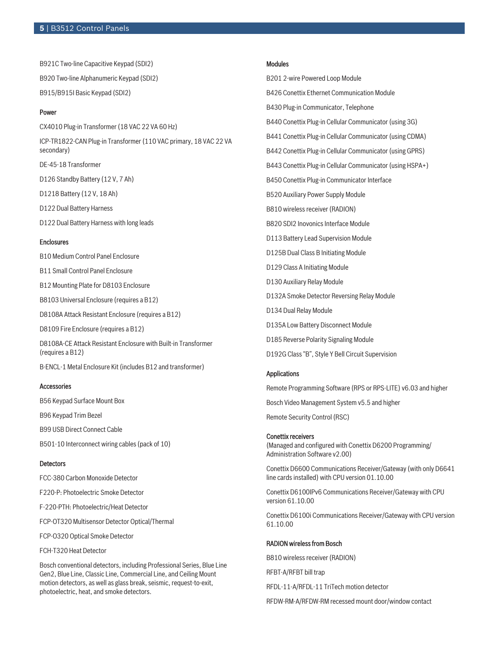#### **5** | B3512 Control Panels

B921C Two-line Capacitive Keypad (SDI2) B920 Two-line Alphanumeric Keypad (SDI2) B915/B915I Basic Keypad (SDI2)

#### Power

CX4010 Plug-in Transformer (18 VAC 22 VA 60 Hz) ICP‑TR1822‑CAN Plug‑in Transformer (110 VAC primary, 18 VAC 22 VA secondary) DE-45-18 Transformer D126 Standby Battery (12 V, 7 Ah) D1218 Battery (12 V, 18 Ah) D122 Dual Battery Harness D122 Dual Battery Harness with long leads **Enclosures** 

- B10 Medium Control Panel Enclosure
- B11 Small Control Panel Enclosure
- B12 Mounting Plate for D8103 Enclosure
- B8103 Universal Enclosure (requires a B12)
- D8108A Attack Resistant Enclosure (requires a B12)
- D8109 Fire Enclosure (requires a B12)

D8108A-CE Attack Resistant Enclosure with Built-in Transformer (requires a B12)

B-ENCL-1 Metal Enclosure Kit (includes B12 and transformer)

#### Accessories

B56 Keypad Surface Mount Box

B96 Keypad Trim Bezel

- B99 USB Direct Connect Cable
- B501-10 Interconnect wiring cables (pack of 10)

#### **Detectors**

- FCC-380 Carbon Monoxide Detector
- F220-P: Photoelectric Smoke Detector
- F-220-PTH: Photoelectric/Heat Detector
- FCP-OT320 Multisensor Detector Optical/Thermal

FCP-O320 Optical Smoke Detector

FCH-T320 Heat Detector

Bosch conventional detectors, including Professional Series, Blue Line Gen2, Blue Line, Classic Line, Commercial Line, and Ceiling Mount motion detectors, as well as glass break, seismic, request-to-exit, photoelectric, heat, and smoke detectors.

#### Modules

B201 2-wire Powered Loop Module B426 Conettix Ethernet Communication Module B430 Plug-in Communicator, Telephone B440 Conettix Plug-in Cellular Communicator (using 3G) B441 Conettix Plug-in Cellular Communicator (using CDMA) B442 Conettix Plug-in Cellular Communicator (using GPRS) B443 Conettix Plug-in Cellular Communicator (using HSPA+) B450 Conettix Plug-in Communicator Interface B520 Auxiliary Power Supply Module B810 wireless receiver (RADION) B820 SDI2 Inovonics Interface Module D113 Battery Lead Supervision Module D125B Dual Class B Initiating Module D129 Class A Initiating Module D130 Auxiliary Relay Module D132A Smoke Detector Reversing Relay Module D134 Dual Relay Module D135A Low Battery Disconnect Module D185 Reverse Polarity Signaling Module D192G Class "B", Style Y Bell Circuit Supervision

#### Applications

Remote Programming Software (RPS or RPS-LITE) v6.03 and higher Bosch Video Management System v5.5 and higher Remote Security Control (RSC)

#### Conettix receivers

(Managed and configured with Conettix D6200 Programming/ Administration Software v2.00)

Conettix D6600 Communications Receiver/Gateway (with only D6641 line cards installed) with CPU version 01.10.00

Conettix D6100IPv6 Communications Receiver/Gateway with CPU version 61.10.00

Conettix D6100i Communications Receiver/Gateway with CPU version 61.10.00

#### RADION wireless from Bosch

B810 wireless receiver (RADION)

RFBT-A/RFBT bill trap

RFDL-11-A/RFDL-11 TriTech motion detector

RFDW-RM-A/RFDW-RM recessed mount door/window contact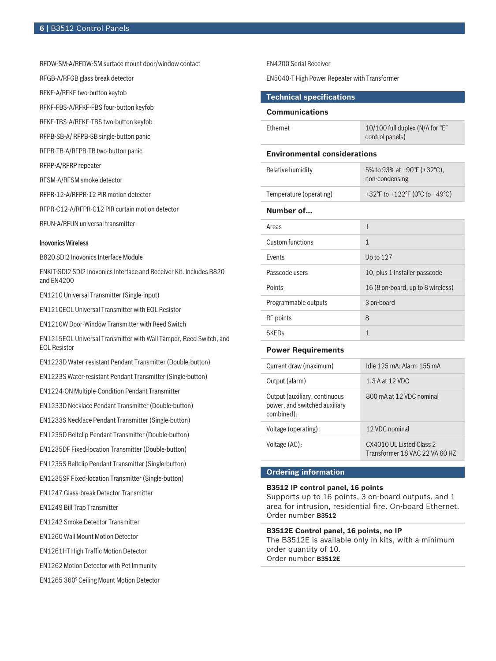RFDW-SM-A/RFDW-SM surface mount door/window contact

RFGB-A/RFGB glass break detector

RFKF-A/RFKF two-button keyfob

RFKF-FBS-A/RFKF-FBS four-button keyfob

RFKF-TBS-A/RFKF-TBS two-button keyfob

RFPB-SB-A/ RFPB-SB single-button panic

RFPB-TB-A/RFPB-TB two-button panic

RFRP-A/RFRP repeater

RFSM-A/RFSM smoke detector

RFPR-12-A/RFPR-12 PIR motion detector

RFPR-C12-A/RFPR-C12 PIR curtain motion detector

RFUN-A/RFUN universal transmitter

#### Inovonics Wireless

B820 SDI2 Inovonics Interface Module

ENKIT-SDI2 SDI2 Inovonics Interface and Receiver Kit. Includes B820 and EN4200

EN1210 Universal Transmitter (Single-input)

EN1210EOL Universal Transmitter with EOL Resistor

EN1210W Door-Window Transmitter with Reed Switch

EN1215EOL Universal Transmitter with Wall Tamper, Reed Switch, and EOL Resistor

EN1223D Water‑resistant Pendant Transmitter (Double‑button)

EN1223S Water‑resistant Pendant Transmitter (Single‑button)

EN1224-ON Multiple-Condition Pendant Transmitter

EN1233D Necklace Pendant Transmitter (Double-button)

EN1233S Necklace Pendant Transmitter (Single-button)

EN1235D Beltclip Pendant Transmitter (Double-button)

EN1235DF Fixed-location Transmitter (Double-button)

EN1235S Beltclip Pendant Transmitter (Single-button)

EN1235SF Fixed-location Transmitter (Single-button)

EN1247 Glass-break Detector Transmitter

EN1249 Bill Trap Transmitter

EN1242 Smoke Detector Transmitter

EN1260 Wall Mount Motion Detector

EN1261HT High Traffic Motion Detector

EN1262 Motion Detector with Pet Immunity

EN1265 360° Ceiling Mount Motion Detector

EN4200 Serial Receiver

EN5040-T High Power Repeater with Transformer

#### **Technical specifications**

#### **Communications**

| <b>Fthernet</b>                     | 10/100 full duplex (N/A for "E"<br>control panels) |  |  |  |
|-------------------------------------|----------------------------------------------------|--|--|--|
| <b>Environmental considerations</b> |                                                    |  |  |  |
| Relative humidity                   | 5% to 93% at +90°F (+32°C),<br>non-condensing      |  |  |  |
| Temperature (operating)             | +32°F to +122°F (0°C to +49°C)                     |  |  |  |
| Number of                           |                                                    |  |  |  |
| Areas                               | $\mathbf{1}$                                       |  |  |  |
| Custom functions                    | $\mathbf{1}$                                       |  |  |  |
| <b>Fvents</b>                       | Up to 127                                          |  |  |  |
| Passcode users                      | 10, plus 1 Installer passcode                      |  |  |  |
| Points                              | 16 (8 on-board, up to 8 wireless)                  |  |  |  |
| Programmable outputs                | 3 on-board                                         |  |  |  |
| RF points                           | 8                                                  |  |  |  |
| <b>SKED<sub>S</sub></b>             | $\mathbf{1}$                                       |  |  |  |
|                                     |                                                    |  |  |  |

#### **Power Requirements**

| Current draw (maximum)                                                       | Idle 125 mA; Alarm 155 mA                                   |
|------------------------------------------------------------------------------|-------------------------------------------------------------|
| Output (alarm)                                                               | 1.3 A at 12 VDC                                             |
| Output (auxiliary, continuous<br>power, and switched auxiliary<br>combined): | 800 mA at 12 VDC nominal                                    |
| Voltage (operating):                                                         | 12 VDC nominal                                              |
| Voltage (AC):                                                                | CX4010 ULL Listed Class 2<br>Transformer 18 VAC 22 VA 60 HZ |

#### **Ordering information**

#### **B3512 IP control panel, 16 points**

Supports up to 16 points, 3 on-board outputs, and 1 area for intrusion, residential fire. On-board Ethernet. Order number **B3512**

#### **B3512E Control panel, 16 points, no IP**

The B3512E is available only in kits, with a minimum order quantity of 10. Order number **B3512E**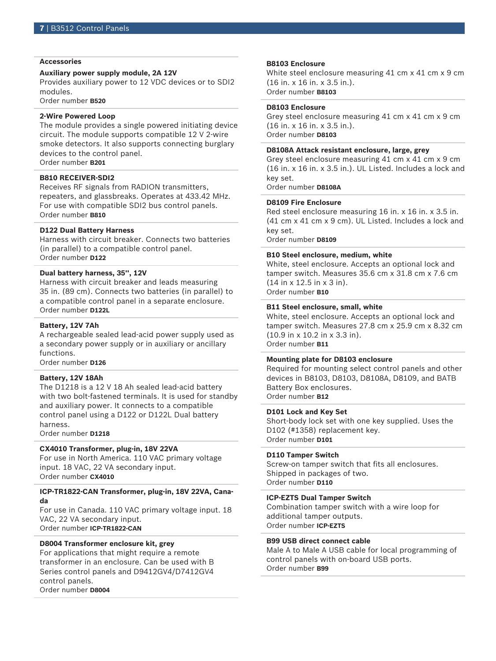#### **Accessories**

#### **Auxiliary power supply module, 2A 12V**

Provides auxiliary power to 12 VDC devices or to SDI2 modules.

Order number **B520**

#### **2-Wire Powered Loop**

The module provides a single powered initiating device circuit. The module supports compatible 12 V 2-wire smoke detectors. It also supports connecting burglary devices to the control panel. Order number **B201**

#### **B810 RECEIVER-SDI2**

Receives RF signals from RADION transmitters, repeaters, and glassbreaks. Operates at 433.42 MHz. For use with compatible SDI2 bus control panels. Order number **B810**

#### **D122 Dual Battery Harness**

Harness with circuit breaker. Connects two batteries (in parallel) to a compatible control panel. Order number **D122**

#### **Dual battery harness, 35'', 12V**

Harness with circuit breaker and leads measuring 35 in. (89 cm). Connects two batteries (in parallel) to a compatible control panel in a separate enclosure. Order number **D122L**

#### **Battery, 12V 7Ah**

A rechargeable sealed lead‑acid power supply used as a secondary power supply or in auxiliary or ancillary functions.

Order number **D126**

#### **Battery, 12V 18Ah**

The D1218 is a 12 V 18 Ah sealed lead-acid battery with two bolt-fastened terminals. It is used for standby and auxiliary power. It connects to a compatible control panel using a D122 or D122L Dual battery harness.

Order number **D1218**

#### **CX4010 Transformer, plug-in, 18V 22VA**

For use in North America. 110 VAC primary voltage input. 18 VAC, 22 VA secondary input. Order number **CX4010**

#### **ICP-TR1822-CAN Transformer, plug-in, 18V 22VA, Canada**

For use in Canada. 110 VAC primary voltage input. 18 VAC, 22 VA secondary input. Order number **ICP-TR1822-CAN**

#### **D8004 Transformer enclosure kit, grey**

For applications that might require a remote transformer in an enclosure. Can be used with B Series control panels and D9412GV4/D7412GV4 control panels. Order number **D8004**

#### **B8103 Enclosure**

White steel enclosure measuring 41 cm x 41 cm x 9 cm (16 in. x 16 in. x 3.5 in.). Order number **B8103**

**D8103 Enclosure**

Grey steel enclosure measuring 41 cm x 41 cm x 9 cm (16 in. x 16 in. x 3.5 in.). Order number **D8103**

#### **D8108A Attack resistant enclosure, large, grey**

Grey steel enclosure measuring 41 cm x 41 cm x 9 cm (16 in. x 16 in. x 3.5 in.). UL Listed. Includes a lock and key set.

Order number **D8108A**

#### **D8109 Fire Enclosure**

Red steel enclosure measuring 16 in. x 16 in. x 3.5 in. (41 cm x 41 cm x 9 cm). UL Listed. Includes a lock and key set.

Order number **D8109**

#### **B10 Steel enclosure, medium, white**

White, steel enclosure. Accepts an optional lock and tamper switch. Measures 35.6 cm x 31.8 cm x 7.6 cm (14 in x 12.5 in x 3 in). Order number **B10**

#### **B11 Steel enclosure, small, white**

White, steel enclosure. Accepts an optional lock and tamper switch. Measures 27.8 cm x 25.9 cm x 8.32 cm (10.9 in x 10.2 in x 3.3 in). Order number **B11**

#### **Mounting plate for D8103 enclosure**

Required for mounting select control panels and other devices in B8103, D8103, D8108A, D8109, and BATB Battery Box enclosures. Order number **B12**

#### **D101 Lock and Key Set**

Short-body lock set with one key supplied. Uses the D102 (#1358) replacement key. Order number **D101**

#### **D110 Tamper Switch**

Screw-on tamper switch that fits all enclosures. Shipped in packages of two. Order number **D110**

#### **ICP‑EZTS Dual Tamper Switch**

Combination tamper switch with a wire loop for additional tamper outputs. Order number **ICP-EZTS**

#### **B99 USB direct connect cable**

Male A to Male A USB cable for local programming of control panels with on-board USB ports. Order number **B99**